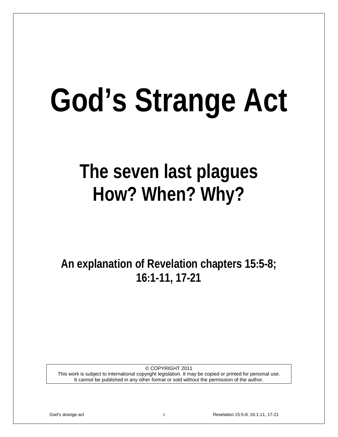# **God's Strange Act**

# **The seven last plagues How? When? Why?**

**An explanation of Revelation chapters 15:5-8; 16:1-11, 17-21**

© COPYRIGHT 2011 This work is subject to international copyright legislation. It may be copied or printed for personal use. It cannot be published in any other format or sold without the permission of the author.

God's strange act 1 **Revelation 15:5-8; 16:1-11, 17-21** Revelation 15:5-8; 16:1-11, 17-21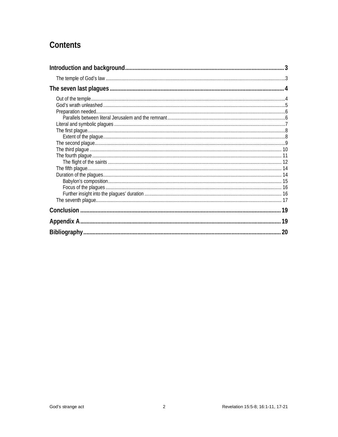# Contents

<span id="page-1-0"></span>

| 20 |
|----|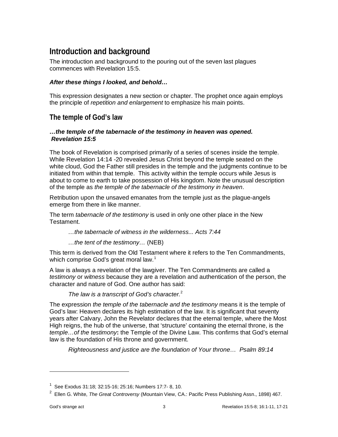# **Introduction and background**

The introduction and background to the pouring out of the seven last plagues commences with Revelation 15:5.

#### *After these things I looked, and behold…*

This expression designates a new section or chapter. The prophet once again employs the principle of *repetition and enlargement* to emphasize his main points.

#### <span id="page-2-0"></span>**The temple of God's law**

#### *…the temple of the tabernacle of the testimony in heaven was opened. Revelation 15:5*

The book of Revelation is comprised primarily of a series of scenes inside the temple. While Revelation 14:14 -20 revealed Jesus Christ beyond the temple seated on the white cloud, God the Father still presides in the temple and the judgments continue to be initiated from within that temple. This activity within the temple occurs while Jesus is about to come to earth to take possession of His kingdom. Note the unusual description of the temple as *the temple of the tabernacle of the testimony in heaven*.

Retribution upon the unsaved emanates from the temple just as the plague-angels emerge from there in like manner.

The term *tabernacle of the testimony* is used in only one other place in the New Testament.

*…the tabernacle of witness in the wilderness... Acts 7:44*

*…the tent of the testimony…* (NEB)

This term is derived from the Old Testament where it refers to the Ten Commandments, which comprise God's great moral law. $^{\rm 1}$  $^{\rm 1}$  $^{\rm 1}$ 

A law is always a revelation of the lawgiver. The Ten Commandments are called a *testimony* or *witness* because they are a revelation and authentication of the person, the character and nature of God. One author has said:

#### *The law is a transcript of God's character.*[2](#page-2-2)

The expression *the temple of the tabernacle and the testimony* means it is the temple of God's law: Heaven declares its high estimation of the law. It is significant that seventy years after Calvary, John the Revelator declares that the eternal temple, where the Most High reigns, the hub of the universe, that 'structure' containing the eternal throne, is the *temple…of the testimony***:** the Temple of the Divine Law. This confirms that God's eternal law is the foundation of His throne and government.

*Righteousness and justice are the foundation of Your throne… Psalm 89:14*

<span id="page-2-1"></span><sup>1</sup> See Exodus 31:18; 32:15-16; 25:16; Numbers 17:7- 8, 10.

<span id="page-2-2"></span><sup>2</sup> Ellen G. White, *The Great Controversy* (Mountain View, CA.: Pacific Press Publishing Assn., 1898) 467.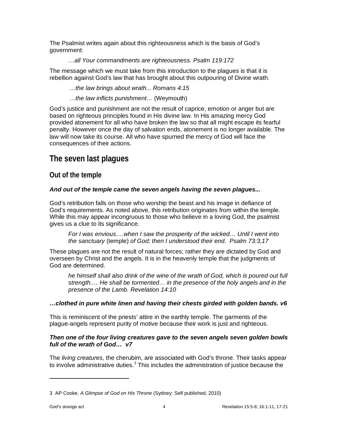The Psalmist writes again about this righteousness which is the basis of God's government:

#### *…all Your commandments are righteousness. Psalm 119:172*

The message which we must take from this introduction to the plagues is that it is rebellion against God's law that has brought about this outpouring of Divine wrath.

*…the law brings about wrath... Romans 4:15*

*…the law inflicts punishment…* (Weymouth)

God's justice and punishment are not the result of caprice, emotion or anger but are based on righteous principles found in His divine law. In His amazing mercy God provided atonement for all who have broken the law so that all might escape its fearful penalty. However once the day of salvation ends, atonement is no longer available. The law will now take its course. All who have spurned the mercy of God will face the consequences of their actions.

### <span id="page-3-0"></span>**The seven last plagues**

#### <span id="page-3-1"></span>**Out of the temple**

#### *And out of the temple came the seven angels having the seven plagues...*

God's retribution falls on those who worship the beast and his image in defiance of God's requirements. As noted above, this retribution originates from within the temple. While this may appear incongruous to those who believe in a loving God, the psalmist gives us a clue to its significance.

*For I was envious….when I saw the prosperity of the wicked… Until I went into the sanctuary* (temple) *of God; then I understood their end. Psalm 73:3,17*

These plagues are not the result of natural forces; rather they are dictated by God and overseen by Christ and the angels. It is in the heavenly temple that the judgments of God are determined.

*he himself shall also drink of the wine of the wrath of God, which is poured out full strength.… He shall be tormented… in the presence of the holy angels and in the presence of the Lamb. Revelation 14:10*

#### *…clothed in pure white linen and having their chests girded with golden bands. v6*

This is reminiscent of the priests' attire in the earthly temple. The garments of the plague-angels represent purity of motive because their work is just and righteous.

#### *Then one of the four living creatures gave to the seven angels seven golden bowls full of the wrath of God… v7*

The *living creatures,* the cherubim, are associated with God's throne. Their tasks appear to involve administrative duties.<sup>[3](#page-3-2)</sup> This includes the administration of justice because the

<span id="page-3-2"></span><sup>3</sup> AP Cooke, *A Glimpse of God on His Throne* (Sydney: Self published, 2010)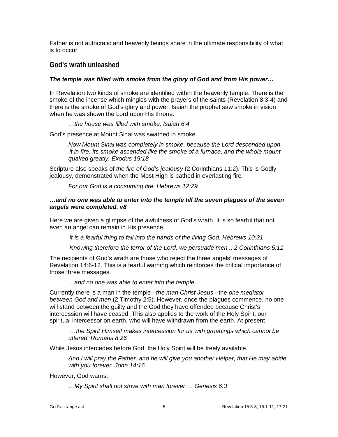Father is not autocratic and heavenly beings share in the ultimate responsibility of what is to occur.

#### <span id="page-4-0"></span>**God's wrath unleashed**

#### *The temple was filled with smoke from the glory of God and from His power…*

In Revelation two kinds of smoke are identified within the heavenly temple. There is the smoke of the incense which mingles with the prayers of the saints (Revelation 8:3-4) and there is the smoke of God's glory and power. Isaiah the prophet saw smoke in vision when he was shown the Lord upon His throne.

#### *…the house was filled with smoke. Isaiah 6:4*

God's presence at Mount Sinai was swathed in smoke.

*Now Mount Sinai was completely in smoke, because the Lord descended upon it in fire. Its smoke ascended like the smoke of a furnace, and the whole mount quaked greatly. Exodus 19:18*

Scripture also speaks of *the fire of God's jealousy* (2 Corinthians 11:2). This is Godly jealousy, demonstrated when the Most High is bathed in everlasting fire*.* 

*For our God is a consuming fire. Hebrews 12:29*

#### *…and no one was able to enter into the temple till the seven plagues of the seven angels were completed. v8*

Here we are given a glimpse of the awfulness of God's wrath. It is so fearful that not even an angel can remain in His presence.

*It is a fearful thing to fall into the hands of the living God. Hebrews 10:31*

*Knowing therefore the terror of the Lord, we persuade men... 2 Corinthians 5:11*

The recipients of God's wrath are those who reject the three angels' messages of Revelation 14:6-12. This is a fearful warning which reinforces the critical importance of those three messages.

*…and no one was able to enter into the temple…*

Currently there is a man in the temple - *the man Christ Jesus* - the *one mediator between God and men* (2 Timothy 2:5). However, once the plagues commence, no one will stand between the guilty and the God they have offended because Christ's intercession will have ceased. This also applies to the work of the Holy Spirit, our spiritual intercessor on earth, who will have withdrawn from the earth. At present

*…the Spirit Himself makes intercession for us with groanings which cannot be uttered. Romans 8:26* 

While Jesus intercedes before God, the Holy Spirit will be freely available.

*And I will pray the Father, and he will give you another Helper, that He may abide with you forever. John 14:16*

However, God warns:

*…My Spirit shall not strive with man forever…. Genesis 6:3*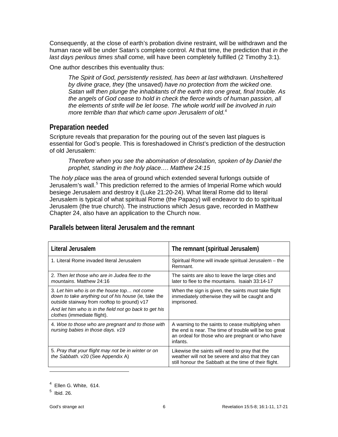Consequently, at the close of earth's probation divine restraint, will be withdrawn and the human race will be under Satan's complete control. At that time, the prediction that *in the last days perilous times shall come,* will have been completely fulfilled (2 Timothy 3:1).

One author describes this eventuality thus:

*The Spirit of God, persistently resisted, has been at last withdrawn. Unsheltered by divine grace, they* (the unsaved) *have no protection from the wicked one. Satan will then plunge the inhabitants of the earth into one great, final trouble. As the angels of God cease to hold in check the fierce winds of human passion, all the elements of strife will be let loose. The whole world will be involved in ruin more terrible than that which came upon Jerusalem of old.*[4](#page-5-2)

#### <span id="page-5-0"></span>**Preparation needed**

Scripture reveals that preparation for the pouring out of the seven last plagues is essential for God's people. This is foreshadowed in Christ's prediction of the destruction of old Jerusalem:

*Therefore when you see the abomination of desolation, spoken of by Daniel the prophet, standing in the holy place…. Matthew 24:15*

The *holy place* was the area of ground which extended several furlongs outside of Jerusalem's wall.<sup>[5](#page-5-3)</sup> This prediction referred to the armies of Imperial Rome which would besiege Jerusalem and destroy it (Luke 21:20-24). What literal Rome did to literal Jerusalem is typical of what spiritual Rome (the Papacy) will endeavor to do to spiritual Jerusalem (the true church). The instructions which Jesus gave, recorded in Matthew Chapter 24, also have an application to the Church now.

#### <span id="page-5-1"></span>**Parallels between literal Jerusalem and the remnant**

| Literal Jerusalem                                                                                                                                                                                                                                   | The remnant (spiritual Jerusalem)                                                                                                                                           |
|-----------------------------------------------------------------------------------------------------------------------------------------------------------------------------------------------------------------------------------------------------|-----------------------------------------------------------------------------------------------------------------------------------------------------------------------------|
| 1. Literal Rome invaded literal Jerusalem                                                                                                                                                                                                           | Spiritual Rome will invade spiritual Jerusalem - the<br>Remnant.                                                                                                            |
| 2. Then let those who are in Judea flee to the<br>mountains. Matthew 24:16                                                                                                                                                                          | The saints are also to leave the large cities and<br>later to flee to the mountains. Isaiah 33:14-17                                                                        |
| 3. Let him who is on the house top not come<br>down to take anything out of his house (ie, take the<br>outside stairway from rooftop to ground) v17<br>And let him who is in the field not go back to get his<br><i>clothes</i> (immediate flight). | When the sign is given, the saints must take flight<br>immediately otherwise they will be caught and<br>imprisoned.                                                         |
| 4. Woe to those who are pregnant and to those with<br>nursing babies in those days. v19                                                                                                                                                             | A warning to the saints to cease multiplying when<br>the end is near. The time of trouble will be too great<br>an ordeal for those who are pregnant or who have<br>infants. |
| 5. Pray that your flight may not be in winter or on<br>the Sabbath. v20 (See Appendix A)                                                                                                                                                            | Likewise the saints will need to pray that the<br>weather will not be severe and also that they can<br>still honour the Sabbath at the time of their flight.                |

<span id="page-5-2"></span> $4$  Ellen G. White, 614.

<span id="page-5-3"></span> $<sup>5</sup>$  Ibid. 26.</sup>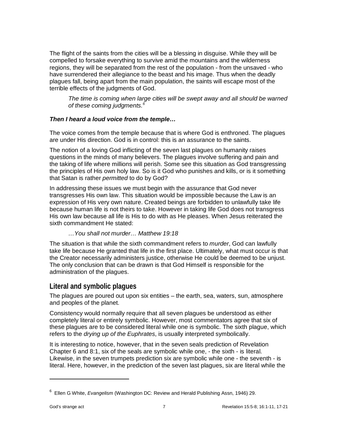The flight of the saints from the cities will be a blessing in disguise. While they will be compelled to forsake everything to survive amid the mountains and the wilderness regions, they will be separated from the rest of the population - from the unsaved - who have surrendered their allegiance to the beast and his image. Thus when the deadly plagues fall, being apart from the main population, the saints will escape most of the terrible effects of the judgments of God.

*The time is coming when large cities will be swept away and all should be warned of these coming judgments.[6](#page-6-1)*

#### *Then I heard a loud voice from the temple…*

The voice comes from the temple because that is where God is enthroned. The plagues are under His direction. God is in control: this is an assurance to the saints.

The notion of a loving God inflicting of the seven last plagues on humanity raises questions in the minds of many believers. The plagues involve suffering and pain and the taking of life where millions will perish. Some see this situation as God transgressing the principles of His own holy law. So is it God who punishes and kills, or is it something that Satan is rather *permitted* to do by God?

In addressing these issues we must begin with the assurance that God never transgresses His own law. This situation would be impossible because the Law is an expression of His very own nature. Created beings are forbidden to unlawfully take life because human life is not theirs to take. However in taking life God does not transgress His own law because all life is His to do with as He pleases. When Jesus reiterated the sixth commandment He stated:

#### *…You shall not murder… Matthew 19:18*

The situation is that while the sixth commandment refers to *murder*, God can lawfully take life because He granted that life in the first place. Ultimately, what must occur is that the Creator necessarily administers justice, otherwise He could be deemed to be unjust. The only conclusion that can be drawn is that God Himself is responsible for the administration of the plagues.

#### <span id="page-6-0"></span>**Literal and symbolic plagues**

The plagues are poured out upon six entities – the earth, sea, waters, sun, atmosphere and peoples of the planet.

Consistency would normally require that all seven plagues be understood as either completely literal or entirely symbolic. However, most commentators agree that six of these plagues are to be considered literal while one is symbolic. The sixth plague, which refers to the *drying up of the Euphrates*, is usually interpreted symbolically.

It is interesting to notice, however, that in the seven seals prediction of Revelation Chapter 6 and 8:1, six of the seals are symbolic while one, - the sixth - is literal. Likewise, in the seven trumpets prediction six are symbolic while one - the seventh - is literal. Here, however, in the prediction of the seven last plagues, six are literal while the

<span id="page-6-1"></span><sup>6</sup> Ellen G White, *Evangelism* (Washington DC: Review and Herald Publishing Assn, 1946) 29.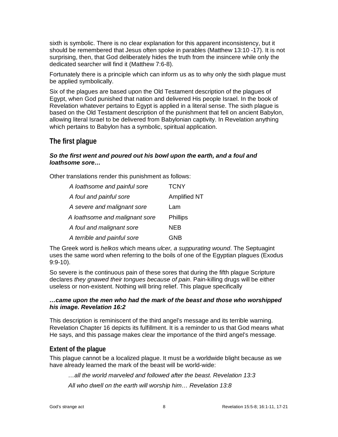sixth is symbolic. There is no clear explanation for this apparent inconsistency, but it should be remembered that Jesus often spoke in parables (Matthew 13:10 -17). It is not surprising, then, that God deliberately hides the truth from the insincere while only the dedicated searcher will find it (Matthew 7:6-8).

Fortunately there is a principle which can inform us as to why only the sixth plague must be applied symbolically.

Six of the plagues are based upon the Old Testament description of the plagues of Egypt, when God punished that nation and delivered His people Israel. In the book of Revelation whatever pertains to Egypt is applied in a literal sense. The sixth plague is based on the Old Testament description of the punishment that fell on ancient Babylon, allowing literal Israel to be delivered from Babylonian captivity. In Revelation anything which pertains to Babylon has a symbolic, spiritual application.

#### <span id="page-7-0"></span>**The first plague**

#### *So the first went and poured out his bowl upon the earth, and a foul and loathsome sore…*

Other translations render this punishment as follows:

| A loathsome and painful sore   | <b>TCNY</b>         |
|--------------------------------|---------------------|
| A foul and painful sore        | <b>Amplified NT</b> |
| A severe and malignant sore    | Lam                 |
| A loathsome and malignant sore | <b>Phillips</b>     |
| A foul and malignant sore      | <b>NEB</b>          |
| A terrible and painful sore    | GNB                 |

The Greek word is *helkos* which means *ulcer, a suppurating wound*. The Septuagint uses the same word when referring to the boils of one of the Egyptian plagues (Exodus 9:9-10).

So severe is the continuous pain of these sores that during the fifth plague Scripture declares *they gnawed their tongues because of pain*. Pain-killing drugs will be either useless or non-existent. Nothing will bring relief. This plague specifically

#### *…came upon the men who had the mark of the beast and those who worshipped his image. Revelation 16:2*

This description is reminiscent of the third angel's message and its terrible warning. Revelation Chapter 16 depicts its fulfillment. It is a reminder to us that God means what He says, and this passage makes clear the importance of the third angel's message.

#### <span id="page-7-1"></span>**Extent of the plague**

This plague cannot be a localized plague. It must be a worldwide blight because as we have already learned the mark of the beast will be world-wide:

*…all the world marveled and followed after the beast. Revelation 13:3*

*All who dwell on the earth will worship him… Revelation 13:8*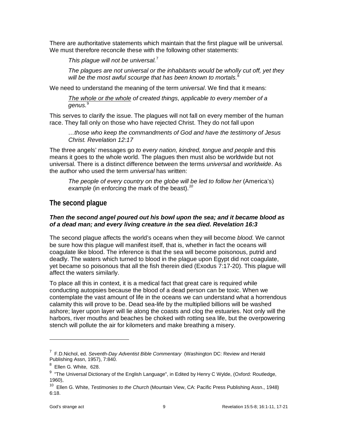There are authoritative statements which maintain that the first plague will be universal. We must therefore reconcile these with the following other statements:

*This plague will not be universal.*[7](#page-8-1)

*The plagues are not universal or the inhabitants would be wholly cut off, yet they will be the most awful scourge that has been known to mortals.*[8](#page-8-2)

We need to understand the meaning of the term *universal*. We find that it means:

*The whole or the whole of created things, applicable to every member of a genus.* [9](#page-8-3)

This serves to clarify the issue. The plagues will not fall on every member of the human race. They fall only on those who have rejected Christ. They do not fall upon

*…those who keep the commandments of God and have the testimony of Jesus Christ. Revelation 12:17*

The three angels' messages go *to every nation, kindred, tongue and people* and this means it goes to the whole world. The plagues then must also be worldwide but not universal. There is a distinct difference between the terms *universal* and *worldwide*. As the author who used the term *universal* has written:

*The people of every country on the globe will be led to follow her* (America's) *example* (in enforcing the mark of the beast). *[10](#page-8-4)*

#### <span id="page-8-0"></span>**The second plague**

#### *Then the second angel poured out his bowl upon the sea; and it became blood as of a dead man; and every living creature in the sea died. Revelation 16:3*

The second plague affects the world's oceans when they will become *blood.* We cannot be sure how this plague will manifest itself, that is, whether in fact the oceans will coagulate like blood. The inference is that the sea will become poisonous, putrid and deadly. The waters which turned to blood in the plague upon Egypt did not coagulate, yet became so poisonous that all the fish therein died (Exodus 7:17-20). This plague will affect the waters similarly.

To place all this in context, it is a medical fact that great care is required while conducting autopsies because the blood of a dead person can be toxic. When we contemplate the vast amount of life in the oceans we can understand what a horrendous calamity this will prove to be. Dead sea-life by the multiplied billions will be washed ashore; layer upon layer will lie along the coasts and clog the estuaries. Not only will the harbors, river mouths and beaches be choked with rotting sea life, but the overpowering stench will pollute the air for kilometers and make breathing a misery.

<span id="page-8-1"></span><sup>7</sup> F.D.Nichol, ed. *Seventh-Day Adventist Bible Commentary* (Washington DC: Review and Herald Publishing Assn, 1957), 7:840.

 $<sup>8</sup>$  Ellen G. White, 628.</sup>

<span id="page-8-3"></span><span id="page-8-2"></span><sup>&</sup>lt;sup>9</sup> "The Universal Dictionary of the English Language", in Edited by Henry C Wylde, (Oxford: Routledge, 1960),

<span id="page-8-4"></span><sup>10</sup> Ellen G. White, *Testimonies to the Church* (Mountain View, CA: Pacific Press Publishing Assn., 1948) 6:18.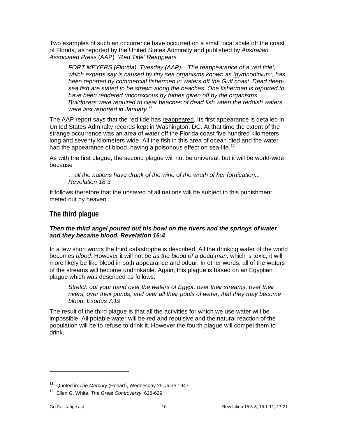Two examples of such an occurrence have occurred on a small local scale off the coast of Florida, as reported by the United States Admiralty and published by *Australian Associated Press* (AAP)*. 'Red Tide' Reappears*

*FORT MEYERS (Florida), Tuesday (AAP). The reappearance of a 'red tide', which experts say is caused by tiny sea organisms known as 'gymnodinium', has been reported by commercial fishermen in waters off the Gulf coast. Dead deepsea fish are stated to be strewn along the beaches. One fisherman is reported to have been rendered unconscious by fumes given off by the organisms. Bulldozers were required to clear beaches of dead fish when the reddish waters were last reported in January.[11](#page-9-1)*

The AAP report says that the red tide has reappeared*.* Its first appearance is detailed in United States Admiralty records kept in Washington, DC. At that time the extent of the strange occurrence was an area of water off the Florida coast five hundred kilometers long and seventy kilometers wide. All the fish in this area of ocean died and the water had the appearance of blood, having a poisonous effect on sea-life.<sup>[12](#page-9-2)</sup>

As with the first plague, the second plague will not be universal, but it will be world-wide because

*…all the nations have drunk of the wine of the wrath of her fornication... Revelation 18:3*

It follows therefore that the unsaved of all nations will be subject to this punishment meted out by heaven.

#### <span id="page-9-0"></span>**The third plague**

#### *Then the third angel poured out his bowl on the rivers and the springs of water and they became blood. Revelation 16:4*

In a few short words the third catastrophe is described. All the drinking water of the world becomes *blood*. However it will not be *as the blood of a dead man,* which is toxic, it will more likely be like blood in both appearance and odour. In other words, all of the waters of the streams will become undrinkable. Again, this plague is based on an Egyptian plague which was described as follows:

*Stretch out your hand over the waters of Egypt, over their streams, over their rivers, over their ponds, and over all their pools of water, that they may become blood. Exodus 7:19*

The result of the third plague is that all the activities for which we use water will be impossible. All potable water will be red and repulsive and the natural reaction of the population will be to refuse to drink it. However the fourth plague will compel them to drink.

<span id="page-9-1"></span><sup>11</sup> Quoted in *The Mercury* (Hobart), Wednesday 25, June 1947.

<span id="page-9-2"></span><sup>12</sup> Ellen G. White, *The Great Controversy* 628-629.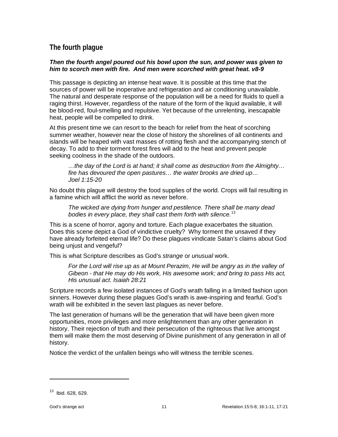#### <span id="page-10-0"></span>**The fourth plague**

#### *Then the fourth angel poured out his bowl upon the sun, and power was given to him to scorch men with fire. And men were scorched with great heat. v8-9*

This passage is depicting an intense heat wave. It is possible at this time that the sources of power will be inoperative and refrigeration and air conditioning unavailable. The natural and desperate response of the population will be a need for fluids to quell a raging thirst. However, regardless of the nature of the form of the liquid available, it will be blood-red, foul-smelling and repulsive. Yet because of the unrelenting, inescapable heat, people will be compelled to drink.

At this present time we can resort to the beach for relief from the heat of scorching summer weather, however near the close of history the shorelines of all continents and islands will be heaped with vast masses of rotting flesh and the accompanying stench of decay. To add to their torment forest fires will add to the heat and prevent people seeking coolness in the shade of the outdoors.

*…the day of the Lord is at hand; it shall come as destruction from the Almighty… fire has devoured the open pastures… the water brooks are dried up… Joel 1:15-20*

No doubt this plague will destroy the food supplies of the world. Crops will fail resulting in a famine which will afflict the world as never before.

*The wicked are dying from hunger and pestilence. There shall be many dead bodies in every place, they shall cast them forth with silence.*[13](#page-10-1)

This is a scene of horror, agony and torture. Each plague exacerbates the situation. Does this scene depict a God of vindictive cruelty? Why torment the unsaved if they have already forfeited eternal life? Do these plagues vindicate Satan's claims about God being unjust and vengeful?

This is what Scripture describes as God's *strange* or *unusual* work.

*For the Lord will rise up as at Mount Perazim, He will be angry as in the valley of Gibeon - that He may do His work, His awesome work; and bring to pass His act, His unusual act. Isaiah 28:21*

Scripture records a few isolated instances of God's wrath falling in a limited fashion upon sinners. However during these plagues God's wrath is awe-inspiring and fearful. God's wrath will be exhibited in the seven last plagues as never before.

The last generation of humans will be the generation that will have been given more opportunities, more privileges and more enlightenment than any other generation in history. Their rejection of truth and their persecution of the righteous that live amongst them will make them the most deserving of Divine punishment of any generation in all of history.

Notice the verdict of the unfallen beings who will witness the terrible scenes.

<span id="page-10-1"></span><sup>&</sup>lt;sup>13</sup> Ibid 628, 629.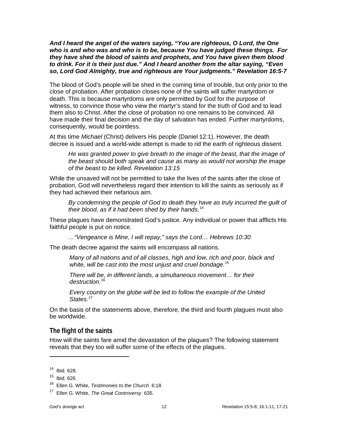*And I heard the angel of the waters saying, "You are righteous, O Lord, the One who is and who was and who is to be, because You have judged these things. For they have shed the blood of saints and prophets, and You have given them blood to drink. For it is their just due." And I heard another from the altar saying, "Even so, Lord God Almighty, true and righteous are Your judgments." Revelation 16:5-7*

The blood of God's people will be shed in the coming time of trouble, but only prior to the close of probation. After probation closes none of the saints will suffer martyrdom or death. This is because martyrdoms are only permitted by God for the purpose of witness, to convince those who view the martyr's stand for the truth of God and to lead them also to Christ. After the close of probation no one remains to be convinced. All have made their final decision and the day of salvation has ended. Further martyrdoms, consequently, would be pointless.

At this time *Michael* (Christ) delivers His people (Daniel 12:1). However, the death decree is issued and a world-wide attempt is made to rid the earth of righteous dissent.

*He was granted power to give breath to the image of the beast, that the image of the beast should both speak and cause as many as would not worship the image of the beast to be killed. Revelation 13:15*

While the unsaved will not be permitted to take the lives of the saints after the close of probation, God will nevertheless regard their intention to kill the saints as seriously as if they had achieved their nefarious aim.

By condemning the people of God to death they have as truly incurred the guilt of *their blood, as if it had been shed by their hands.*[14](#page-11-1)

These plagues have demonstrated God's justice. Any individual or power that afflicts His faithful people is put on notice.

*…"Vengeance is Mine, I will repay," says the Lord… Hebrews 10:30*

The death decree against the saints will encompass all nations.

*Many of all nations and of all classes, high and low, rich and poor, black and white, will be cast into the most unjust and cruel bondage.*[15](#page-11-2)

*There will be, in different lands, a simultaneous movement… for their destruction.*[16](#page-11-3)

*Every country on the globe will be led to follow the example of the United States.* [17](#page-11-4)

On the basis of the statements above, therefore, the third and fourth plagues must also be worldwide.

#### <span id="page-11-0"></span>**The flight of the saints**

How will the saints fare amid the devastation of the plagues? The following statement reveals that they too will suffer some of the effects of the plagues.

<span id="page-11-1"></span><sup>14</sup> Ibid. 628.

<span id="page-11-2"></span> $15$  Ibid. 626

<span id="page-11-3"></span><sup>16</sup> Ellen G. White, *Testimonies to the Church* 6:18.

<span id="page-11-4"></span><sup>17</sup> Ellen G. White, *The Great Controversy* 635.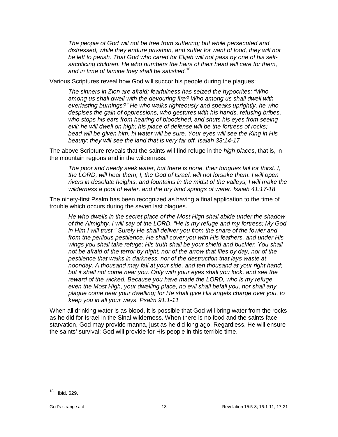*The people of God will not be free from suffering; but while persecuted and distressed, while they endure privation, and suffer for want of food, they will not be left to perish. That God who cared for Elijah will not pass by one of his selfsacrificing children. He who numbers the hairs of their head will care for them, and in time of famine they shall be satisfied.*[18](#page-12-0)

Various Scriptures reveal how God will succor his people during the plagues:

*The sinners in Zion are afraid; fearfulness has seized the hypocrites: "Who among us shall dwell with the devouring fire? Who among us shall dwell with everlasting burnings?" He who walks righteously and speaks uprightly, he who despises the gain of oppressions, who gestures with his hands, refusing bribes, who stops his ears from hearing of bloodshed, and shuts his eyes from seeing evil: he will dwell on high; his place of defense will be the fortress of rocks; bead will be given him, hi water will be sure. Your eyes will see the King in His beauty; they will see the land that is very far off. Isaiah 33:14-17*

The above Scripture reveals that the saints will find refuge in the *high places*, that is, in the mountain regions and in the wilderness.

*The poor and needy seek water, but there is none, their tongues fail for thirst. I, the LORD, will hear them; I, the God of Israel, will not forsake them. I will open rivers in desolate heights, and fountains in the midst of the valleys; I will make the wilderness a pool of water, and the dry land springs of water. Isaiah 41:17-18*

The ninety-first Psalm has been recognized as having a final application to the time of trouble which occurs during the seven last plagues.

*He who dwells in the secret place of the Most High shall abide under the shadow of the Almighty. I will say of the LORD, "He is my refuge and my fortress; My God, in Him I will trust." Surely He shall deliver you from the snare of the fowler and from the perilous pestilence. He shall cover you with His feathers, and under His wings you shall take refuge; His truth shall be your shield and buckler. You shall not be afraid of the terror by night, nor of the arrow that flies by day, nor of the pestilence that walks in darkness, nor of the destruction that lays waste at noonday. A thousand may fall at your side, and ten thousand at your right hand; but it shall not come near you. Only with your eyes shall you look, and see the reward of the wicked. Because you have made the LORD, who is my refuge, even the Most High, your dwelling place, no evil shall befall you, nor shall any plague come near your dwelling; for He shall give His angels charge over you, to keep you in all your ways. Psalm 91:1-11*

When all drinking water is as blood, it is possible that God will bring water from the rocks as he did for Israel in the Sinai wilderness. When there is no food and the saints face starvation, God may provide manna, just as he did long ago. Regardless, He will ensure the saints' survival: God will provide for His people in this terrible time.

<span id="page-12-0"></span><sup>18</sup> Ibid. 629.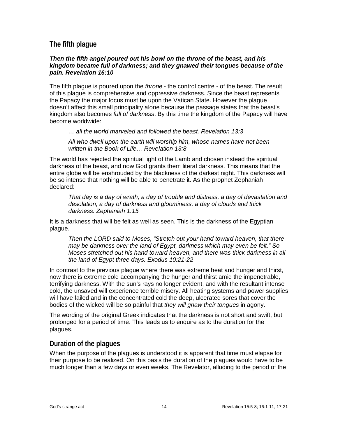#### <span id="page-13-0"></span>**The fifth plague**

#### *Then the fifth angel poured out his bowl on the throne of the beast, and his kingdom became full of darkness; and they gnawed their tongues because of the pain. Revelation 16:10*

The fifth plague is poured upon the *throne* - the control centre - of the beast. The result of this plague is comprehensive and oppressive darkness. Since the beast represents the Papacy the major focus must be upon the Vatican State. However the plague doesn't affect this small principality alone because the passage states that the beast's kingdom also becomes *full of darkness*. By this time the kingdom of the Papacy will have become worldwide:

*… all the world marveled and followed the beast. Revelation 13:3*

*All who dwell upon the earth will worship him, whose names have not been written in the Book of Life… Revelation 13:8*

The world has rejected the spiritual light of the Lamb and chosen instead the spiritual darkness of the beast, and now God grants them literal darkness. This means that the entire globe will be enshrouded by the blackness of the darkest night. This darkness will be so intense that nothing will be able to penetrate it. As the prophet Zephaniah declared:

*That day is a day of wrath, a day of trouble and distress, a day of devastation and desolation, a day of darkness and gloominess, a day of clouds and thick darkness. Zephaniah 1:15*

It is a darkness that will be felt as well as seen. This is the darkness of the Egyptian plague.

*Then the LORD said to Moses, "Stretch out your hand toward heaven, that there may be darkness over the land of Egypt, darkness which may even be felt." So Moses stretched out his hand toward heaven, and there was thick darkness in all the land of Egypt three days. Exodus 10:21-22*

In contrast to the previous plague where there was extreme heat and hunger and thirst, now there is extreme cold accompanying the hunger and thirst amid the impenetrable, terrifying darkness. With the sun's rays no longer evident, and with the resultant intense cold, the unsaved will experience terrible misery. All heating systems and power supplies will have failed and in the concentrated cold the deep, ulcerated sores that cover the bodies of the wicked will be so painful that *they will gnaw their tongues* in agony.

The wording of the original Greek indicates that the darkness is not short and swift, but prolonged for a period of time. This leads us to enquire as to the duration for the plagues.

#### <span id="page-13-1"></span>**Duration of the plagues**

When the purpose of the plagues is understood it is apparent that time must elapse for their purpose to be realized. On this basis the duration of the plagues would have to be much longer than a few days or even weeks. The Revelator, alluding to the period of the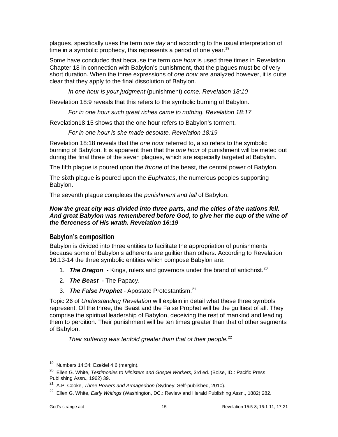plagues, specifically uses the term *one day* and according to the usual interpretation of time in a symbolic prophecy, this represents a period of one year.<sup>[19](#page-14-1)</sup>

Some have concluded that because the term *one hour* is used three times in Revelation Chapter 18 in connection with Babylon's punishment, that the plagues must be of very short duration. When the three expressions of *one hour* are analyzed however, it is quite clear that they apply to the final dissolution of Babylon.

*In one hour is your judgment* (punishment) *come. Revelation 18:10*

Revelation 18:9 reveals that this refers to the symbolic burning of Babylon.

*For in one hour such great riches came to nothing. Revelation 18:17*

Revelation18:15 shows that the one hour refers to Babylon's torment.

*For in one hour is she made desolate. Revelation 18:19*

Revelation 18:18 reveals that the *one hour* referred to, also refers to the symbolic burning of Babylon. It is apparent then that the *one hour* of punishment will be meted out during the final three of the seven plagues, which are especially targeted at Babylon.

The fifth plague is poured upon the *throne* of the beast, the central power of Babylon.

The sixth plague is poured upon the *Euphrates*, the numerous peoples supporting Babylon.

The seventh plague completes the *punishment and fall* of Babylon.

#### *Now the great city was divided into three parts, and the cities of the nations fell. And great Babylon was remembered before God, to give her the cup of the wine of the fierceness of His wrath. Revelation 16:19*

#### <span id="page-14-0"></span>**Babylon's composition**

Babylon is divided into three entities to facilitate the appropriation of punishments because some of Babylon's adherents are guiltier than others. According to Revelation 16:13-14 the three symbolic entities which compose Babylon are:

- 1. **The Dragon** Kings, rulers and governors under the brand of antichrist.<sup>[20](#page-14-2)</sup>
- 2. *The Beast*  The Papacy.
- 3. *The False Prophet* Apostate Protestantism. [21](#page-14-3)

Topic 26 of *Understanding Revelation* will explain in detail what these three symbols represent. Of the three, the Beast and the False Prophet will be the guiltiest of all. They comprise the spiritual leadership of Babylon, deceiving the rest of mankind and leading them to perdition. Their punishment will be ten times greater than that of other segments of Babylon.

*Their suffering was tenfold greater than that of their people.*<sup>[22](#page-14-4)</sup>

<span id="page-14-1"></span><sup>19</sup> Numbers 14:34; Ezekiel 4:6 (margin).

<span id="page-14-2"></span><sup>20</sup> Ellen G. White, *Testimonies to Ministers and Gospel Workers*, 3rd ed. (Boise, ID.: Pacific Press Publishing Assn., 1962) 39.

<span id="page-14-3"></span><sup>21</sup> A.P. Cooke, *Three Powers and Armageddon* (Sydney: Self-published, 2010).

<span id="page-14-4"></span><sup>22</sup> Ellen G. White, *Early Writings* (Washington, DC.: Review and Herald Publishing Assn., 1882) 282.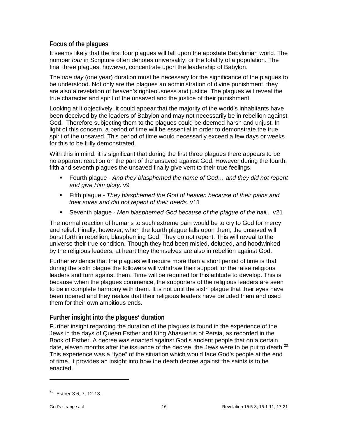#### <span id="page-15-0"></span>**Focus of the plagues**

It seems likely that the first four plagues will fall upon the apostate Babylonian world. The number *four* in Scripture often denotes universality, or the totality of a population. The final three plagues, however, concentrate upon the leadership of Babylon.

The *one day* (one year) duration must be necessary for the significance of the plagues to be understood. Not only are the plagues an administration of divine punishment, they are also a revelation of heaven's righteousness and justice. The plagues will reveal the true character and spirit of the unsaved and the justice of their punishment.

Looking at it objectively, it could appear that the majority of the world's inhabitants have been deceived by the leaders of Babylon and may not necessarily be in rebellion against God. Therefore subjecting them to the plagues could be deemed harsh and unjust. In light of this concern, a period of time will be essential in order to demonstrate the true spirit of the unsaved. This period of time would necessarily exceed a few days or weeks for this to be fully demonstrated.

With this in mind, it is significant that during the first three plagues there appears to be no apparent reaction on the part of the unsaved against God. However during the fourth, fifth and seventh plagues the unsaved finally give vent to their true feelings.

- Fourth plague *And they blasphemed the name of God… and they did not repent and give Him glory.* v9
- Fifth plague *They blasphemed the God of heaven because of their pains and their sores and did not repent of their deeds*. v11
- Seventh plague *Men blasphemed God because of the plague of the hail...* v21

The normal reaction of humans to such extreme pain would be to cry to God for mercy and relief. Finally, however, when the fourth plague falls upon them, the unsaved will burst forth in rebellion, blaspheming God. They do not repent. This will reveal to the universe their true condition. Though they had been misled, deluded, and hoodwinked by the religious leaders, at heart they themselves are also in rebellion against God.

Further evidence that the plagues will require more than a short period of time is that during the sixth plague the followers will withdraw their support for the false religious leaders and turn against them. Time will be required for this attitude to develop. This is because when the plagues commence, the supporters of the religious leaders are seen to be in complete harmony with them. It is not until the sixth plague that their eyes have been opened and they realize that their religious leaders have deluded them and used them for their own ambitious ends.

#### <span id="page-15-1"></span>**Further insight into the plagues' duration**

Further insight regarding the duration of the plagues is found in the experience of the Jews in the days of Queen Esther and King Ahasuerus of Persia, as recorded in the Book of Esther. A decree was enacted against God's ancient people that on a certain date, eleven months after the issuance of the decree, the Jews were to be put to death.<sup>[23](#page-15-2)</sup> This experience was a "type" of the situation which would face God's people at the end of time. It provides an insight into how the death decree against the saints is to be enacted.

<span id="page-15-2"></span><sup>23</sup> Esther 3:6, 7, 12-13.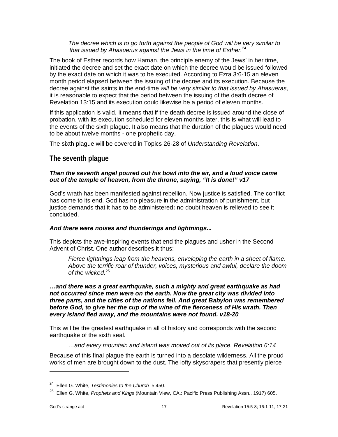*The decree which is to go forth against the people of God will be very similar to that issued by Ahasuerus against the Jews in the time of Esther.*[24](#page-16-1)

The book of Esther records how Haman, the principle enemy of the Jews' in her time, initiated the decree and set the exact date on which the decree would be issued followed by the exact date on which it was to be executed. According to Ezra 3:6-15 an eleven month period elapsed between the issuing of the decree and its execution. Because the decree against the saints in the end-time *will be very similar to that issued by Ahasueras,* it is reasonable to expect that the period between the issuing of the death decree of Revelation 13:15 and its execution could likewise be a period of eleven months.

If this application is valid, it means that if the death decree is issued around the close of probation, with its execution scheduled for eleven months later, this is what will lead to the events of the sixth plague. It also means that the duration of the plagues would need to be about twelve months - one prophetic day.

The sixth plague will be covered in Topics 26-28 of *Understanding Revelation*.

#### <span id="page-16-0"></span>**The seventh plague**

#### *Then the seventh angel poured out his bowl into the air, and a loud voice came out of the temple of heaven, from the throne, saying, "It is done!" v17*

God's wrath has been manifested against rebellion. Now justice is satisfied. The conflict has come to its end. God has no pleasure in the administration of punishment, but justice demands that it has to be administered**:** no doubt heaven is relieved to see it concluded.

#### *And there were noises and thunderings and lightnings...*

This depicts the awe-inspiring events that end the plagues and usher in the Second Advent of Christ. One author describes it thus:

*Fierce lightnings leap from the heavens, enveloping the earth in a sheet of flame. Above the terrific roar of thunder, voices, mysterious and awful, declare the doom of the wicked.*[25](#page-16-2)

*…and there was a great earthquake, such a mighty and great earthquake as had not occurred since men were on the earth. Now the great city was divided into three parts, and the cities of the nations fell. And great Babylon was remembered before God, to give her the cup of the wine of the fierceness of His wrath. Then every island fled away, and the mountains were not found. v18-20*

This will be the greatest earthquake in all of history and corresponds with the second earthquake of the sixth seal.

*…and every mountain and island was moved out of its place. Revelation 6:14*

Because of this final plague the earth is turned into a desolate wilderness. All the proud works of men are brought down to the dust. The lofty skyscrapers that presently pierce

<span id="page-16-1"></span><sup>24</sup> Ellen G. White, *Testimonies to the Church* 5:450.

<span id="page-16-2"></span><sup>25</sup> Ellen G. White, *Prophets and Kings* (Mountain View, CA.: Pacific Press Publishing Assn., 1917) 605.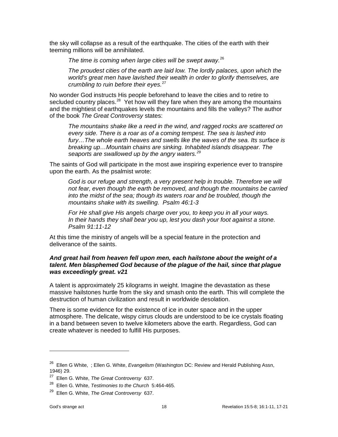the sky will collapse as a result of the earthquake. The cities of the earth with their teeming millions will be annihilated.

*The time is coming when large cities will be swept away.*[26](#page-17-0)

*The proudest cities of the earth are laid low. The lordly palaces, upon which the world's great men have lavished their wealth in order to glorify themselves, are crumbling to ruin before their eyes.*[27](#page-17-1)

No wonder God instructs His people beforehand to leave the cities and to retire to secluded country places. $^{28}$  Yet how will they fare when they are among the mountains and the mightiest of earthquakes levels the mountains and fills the valleys? The author of the book *The Great Controversy* states:

*The mountains shake like a reed in the wind, and ragged rocks are scattered on every side. There is a roar as of a coming tempest. The sea is lashed into fury…The whole earth heaves and swells like the waves of the sea. Its surface is breaking up…Mountain chains are sinking. Inhabited islands disappear. The seaports are swallowed up by the angry waters. [29](#page-17-3)*

The saints of God will participate in the most awe inspiring experience ever to transpire upon the earth. As the psalmist wrote:

*God is our refuge and strength, a very present help in trouble. Therefore we will not fear, even though the earth be removed, and though the mountains be carried into the midst of the sea; though its waters roar and be troubled, though the mountains shake with its swelling. Psalm 46:1-3*

*For He shall give His angels charge over you, to keep you in all your ways. In their hands they shall bear you up, lest you dash your foot against a stone. Psalm 91:11-12*

At this time the ministry of angels will be a special feature in the protection and deliverance of the saints.

#### *And great hail from heaven fell upon men, each hailstone about the weight of a talent. Men blasphemed God because of the plague of the hail, since that plague was exceedingly great. v21*

A talent is approximately 25 kilograms in weight. Imagine the devastation as these massive hailstones hurtle from the sky and smash onto the earth. This will complete the destruction of human civilization and result in worldwide desolation.

There is some evidence for the existence of ice in outer space and in the upper atmosphere. The delicate, wispy cirrus clouds are understood to be ice crystals floating in a band between seven to twelve kilometers above the earth. Regardless, God can create whatever is needed to fulfill His purposes.

<span id="page-17-0"></span><sup>26</sup> Ellen G White, ; Ellen G. White, *Evangelism* (Washington DC: Review and Herald Publishing Assn, 1946) 29.

<span id="page-17-1"></span><sup>27</sup> Ellen G. White, *The Great Controversy* 637.

<span id="page-17-2"></span><sup>28</sup> Ellen G. White, *Testimonies to the Church* 5:464-465.

<span id="page-17-3"></span><sup>29</sup> Ellen G. White, *The Great Controversy* 637.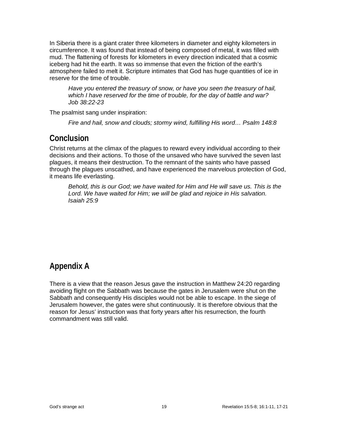In Siberia there is a giant crater three kilometers in diameter and eighty kilometers in circumference. It was found that instead of being composed of metal, it was filled with mud. The flattening of forests for kilometers in every direction indicated that a cosmic iceberg had hit the earth. It was so immense that even the friction of the earth's atmosphere failed to melt it. Scripture intimates that God has huge quantities of ice in reserve for the time of trouble.

*Have you entered the treasury of snow, or have you seen the treasury of hail, which I have reserved for the time of trouble, for the day of battle and war? Job 38:22-23*

The psalmist sang under inspiration:

*Fire and hail, snow and clouds; stormy wind, fulfilling His word… Psalm 148:8*

## <span id="page-18-0"></span>**Conclusion**

Christ returns at the climax of the plagues to reward every individual according to their decisions and their actions. To those of the unsaved who have survived the seven last plagues, it means their destruction. To the remnant of the saints who have passed through the plagues unscathed, and have experienced the marvelous protection of God, it means life everlasting.

<span id="page-18-1"></span>*Behold, this is our God; we have waited for Him and He will save us. This is the* Lord. We have waited for Him; we will be glad and rejoice in His salvation. *Isaiah 25:9*

# **Appendix A**

<span id="page-18-2"></span>There is a view that the reason Jesus gave the instruction in Matthew 24:20 regarding avoiding flight on the Sabbath was because the gates in Jerusalem were shut on the Sabbath and consequently His disciples would not be able to escape. In the siege of Jerusalem however, the gates were shut continuously. It is therefore obvious that the reason for Jesus' instruction was that forty years after his resurrection, the fourth commandment was still valid.